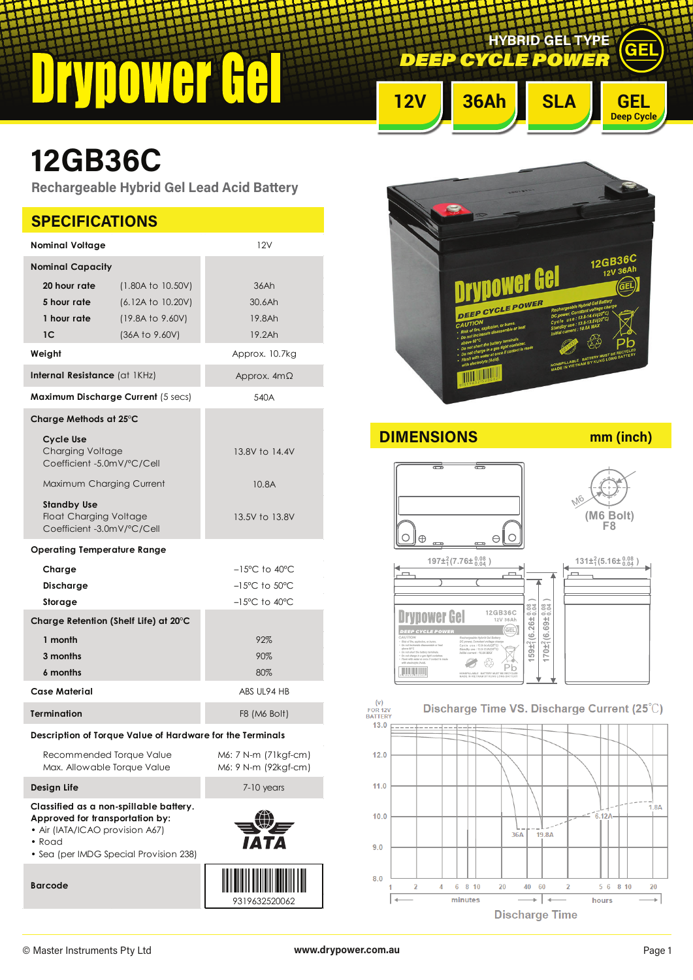$\blacksquare$ 

**DEEP CYCLE POWE HYBRID GEL TYPE**

# **12V 36Ah SLA GEL**

## **12GB36C**

**Rechargeable Hybrid Gel Lead Acid Battery**

| <b>SPECIFICATIONS</b>                                                             |                                                                                  |                                                                        |  |  |  |
|-----------------------------------------------------------------------------------|----------------------------------------------------------------------------------|------------------------------------------------------------------------|--|--|--|
| <b>Nominal Voltage</b>                                                            |                                                                                  | 12V                                                                    |  |  |  |
| <b>Nominal Capacity</b>                                                           |                                                                                  |                                                                        |  |  |  |
| 20 hour rate<br>5 hour rate<br>1 hour rate                                        | (1.80A to 10.50V)<br>(6.12A to 10.20V)<br>(19.8A to 9.60V)                       | 36Ah<br>30.6Ah<br>19.8Ah                                               |  |  |  |
| 1C                                                                                | (36A to 9.60V)                                                                   | 19.2Ah                                                                 |  |  |  |
| Weight                                                                            |                                                                                  | Approx. 10.7kg                                                         |  |  |  |
| Internal Resistance (at IKHz)                                                     |                                                                                  | Approx. $4m\Omega$                                                     |  |  |  |
| <b>Maximum Discharge Current (5 secs)</b>                                         |                                                                                  | 540A                                                                   |  |  |  |
| Charge Methods at 25°C                                                            |                                                                                  |                                                                        |  |  |  |
| Cycle Use<br>Charging Voltage<br>Coefficient -5.0mV/°C/Cell                       |                                                                                  | 13.8V to 14.4V                                                         |  |  |  |
| Maximum Charging Current                                                          |                                                                                  | 10.8A                                                                  |  |  |  |
| <b>Standby Use</b><br><b>Float Charging Voltage</b><br>Coefficient -3.0mV/°C/Cell |                                                                                  | 13.5V to 13.8V                                                         |  |  |  |
| <b>Operating Temperature Range</b>                                                |                                                                                  |                                                                        |  |  |  |
| Charge                                                                            |                                                                                  | $-15^{\circ}$ C to 40 $^{\circ}$ C                                     |  |  |  |
| Discharge<br>Storage                                                              |                                                                                  | $-15^{\circ}$ C to $50^{\circ}$ C<br>$-15^{\circ}$ C to $40^{\circ}$ C |  |  |  |
| Charge Retention (Shelf Life) at 20°C                                             |                                                                                  |                                                                        |  |  |  |
| 1 month                                                                           |                                                                                  | 92%                                                                    |  |  |  |
| 3 months                                                                          |                                                                                  | 90%                                                                    |  |  |  |
| 6 months                                                                          |                                                                                  | 80%                                                                    |  |  |  |
| <b>Case Material</b>                                                              |                                                                                  | ABS UL94 HB                                                            |  |  |  |
| <b>Termination</b>                                                                |                                                                                  | F8 (M6 Bolt)                                                           |  |  |  |
|                                                                                   | Description of Torque Value of Hardware for the Terminals                        |                                                                        |  |  |  |
| Recommended Torque Value<br>Max. Allowable Torque Value                           |                                                                                  | M6: 7 N-m (71kgf-cm)<br>M6: 9 N-m (92kgf-cm)                           |  |  |  |
| Design Life                                                                       |                                                                                  | 7-10 years                                                             |  |  |  |
| Approved for transportation by:<br>• Air (IATA/ICAO provision A67)<br>• Road      | Classified as a non-spillable battery.<br>• Sea (per IMDG Special Provision 238) |                                                                        |  |  |  |
| <b>Barcode</b>                                                                    |                                                                                  | 9319632520062                                                          |  |  |  |



**DIMENSIONS mm (inch)**

**Drypower Gel** 

**Julian** 

**Deep Cycle**

GEL





M6

(v)<br>FOR 12V<br>BATTERY

 $13.0$ 

 $12.0$